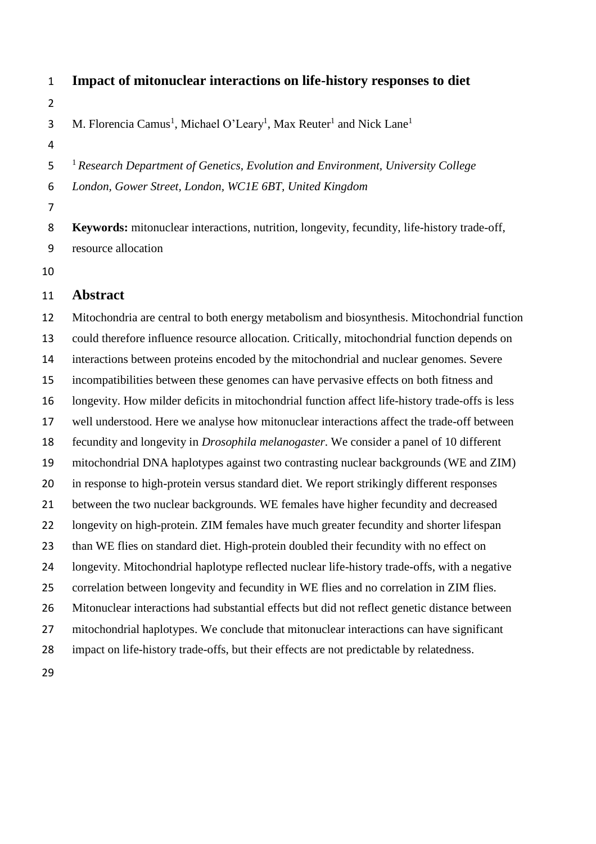- **Impact of mitonuclear interactions on life-history responses to diet**  3 M. Florencia Camus<sup>1</sup>, Michael O'Leary<sup>1</sup>, Max Reuter<sup>1</sup> and Nick Lane<sup>1</sup> <sup>1</sup> *Research Department of Genetics, Evolution and Environment, University College London, Gower Street, London, WC1E 6BT, United Kingdom* **Keywords:** mitonuclear interactions, nutrition, longevity, fecundity, life-history trade-off, resource allocation
- 

# **Abstract**

 Mitochondria are central to both energy metabolism and biosynthesis. Mitochondrial function could therefore influence resource allocation. Critically, mitochondrial function depends on interactions between proteins encoded by the mitochondrial and nuclear genomes. Severe incompatibilities between these genomes can have pervasive effects on both fitness and longevity. How milder deficits in mitochondrial function affect life-history trade-offs is less well understood. Here we analyse how mitonuclear interactions affect the trade-off between fecundity and longevity in *Drosophila melanogaster*. We consider a panel of 10 different mitochondrial DNA haplotypes against two contrasting nuclear backgrounds (WE and ZIM) in response to high-protein versus standard diet. We report strikingly different responses between the two nuclear backgrounds. WE females have higher fecundity and decreased 22 longevity on high-protein. ZIM females have much greater fecundity and shorter lifespan than WE flies on standard diet. High-protein doubled their fecundity with no effect on longevity. Mitochondrial haplotype reflected nuclear life-history trade-offs, with a negative correlation between longevity and fecundity in WE flies and no correlation in ZIM flies. Mitonuclear interactions had substantial effects but did not reflect genetic distance between mitochondrial haplotypes. We conclude that mitonuclear interactions can have significant impact on life-history trade-offs, but their effects are not predictable by relatedness.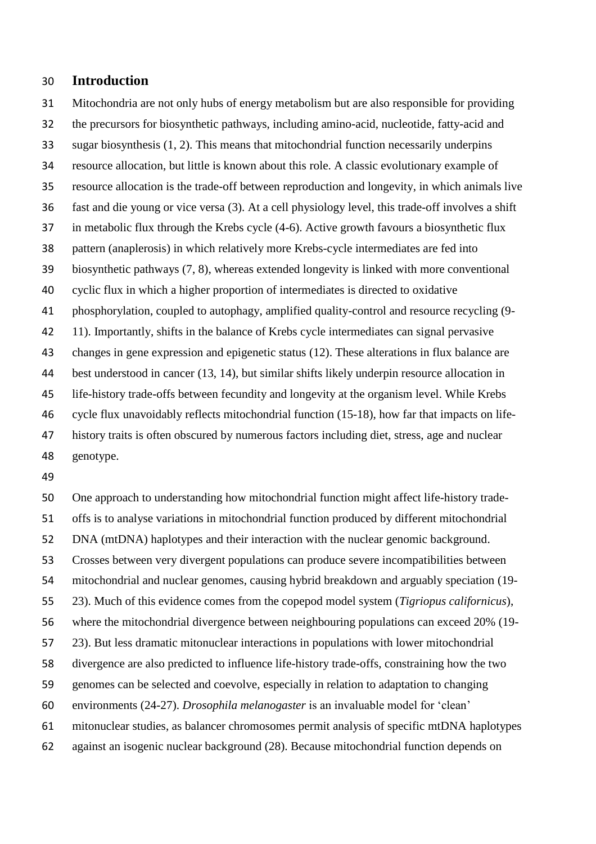#### **Introduction**

 Mitochondria are not only hubs of energy metabolism but are also responsible for providing the precursors for biosynthetic pathways, including amino-acid, nucleotide, fatty-acid and sugar biosynthesis (1, 2). This means that mitochondrial function necessarily underpins resource allocation, but little is known about this role. A classic evolutionary example of resource allocation is the trade-off between reproduction and longevity, in which animals live fast and die young or vice versa (3). At a cell physiology level, this trade-off involves a shift in metabolic flux through the Krebs cycle (4-6). Active growth favours a biosynthetic flux pattern (anaplerosis) in which relatively more Krebs-cycle intermediates are fed into biosynthetic pathways (7, 8), whereas extended longevity is linked with more conventional cyclic flux in which a higher proportion of intermediates is directed to oxidative phosphorylation, coupled to autophagy, amplified quality-control and resource recycling (9- 11). Importantly, shifts in the balance of Krebs cycle intermediates can signal pervasive changes in gene expression and epigenetic status (12). These alterations in flux balance are best understood in cancer (13, 14), but similar shifts likely underpin resource allocation in life-history trade-offs between fecundity and longevity at the organism level. While Krebs cycle flux unavoidably reflects mitochondrial function (15-18), how far that impacts on life- history traits is often obscured by numerous factors including diet, stress, age and nuclear genotype.

 One approach to understanding how mitochondrial function might affect life-history trade- offs is to analyse variations in mitochondrial function produced by different mitochondrial DNA (mtDNA) haplotypes and their interaction with the nuclear genomic background. Crosses between very divergent populations can produce severe incompatibilities between mitochondrial and nuclear genomes, causing hybrid breakdown and arguably speciation (19- 23). Much of this evidence comes from the copepod model system (*Tigriopus californicus*), where the mitochondrial divergence between neighbouring populations can exceed 20% (19- 23). But less dramatic mitonuclear interactions in populations with lower mitochondrial divergence are also predicted to influence life-history trade-offs, constraining how the two genomes can be selected and coevolve, especially in relation to adaptation to changing environments (24-27). *Drosophila melanogaster* is an invaluable model for 'clean' mitonuclear studies, as balancer chromosomes permit analysis of specific mtDNA haplotypes against an isogenic nuclear background (28). Because mitochondrial function depends on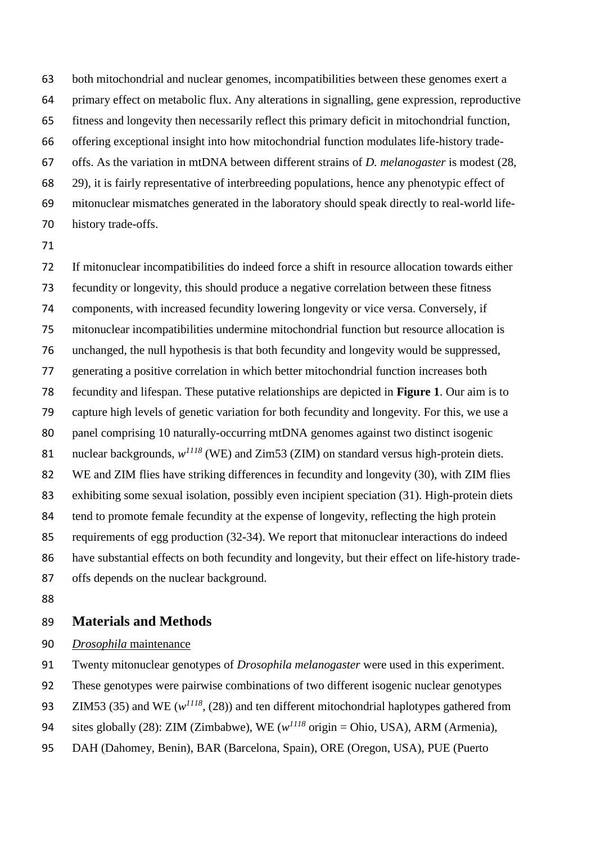both mitochondrial and nuclear genomes, incompatibilities between these genomes exert a primary effect on metabolic flux. Any alterations in signalling, gene expression, reproductive fitness and longevity then necessarily reflect this primary deficit in mitochondrial function, offering exceptional insight into how mitochondrial function modulates life-history trade- offs. As the variation in mtDNA between different strains of *D. melanogaster* is modest (28, 29), it is fairly representative of interbreeding populations, hence any phenotypic effect of mitonuclear mismatches generated in the laboratory should speak directly to real-world life-history trade-offs.

 If mitonuclear incompatibilities do indeed force a shift in resource allocation towards either fecundity or longevity, this should produce a negative correlation between these fitness components, with increased fecundity lowering longevity or vice versa. Conversely, if mitonuclear incompatibilities undermine mitochondrial function but resource allocation is unchanged, the null hypothesis is that both fecundity and longevity would be suppressed, generating a positive correlation in which better mitochondrial function increases both fecundity and lifespan. These putative relationships are depicted in **Figure 1**. Our aim is to capture high levels of genetic variation for both fecundity and longevity. For this, we use a 80 panel comprising 10 naturally-occurring mtDNA genomes against two distinct isogenic 81 nuclear backgrounds,  $w^{1118}$  (WE) and Zim53 (ZIM) on standard versus high-protein diets. WE and ZIM flies have striking differences in fecundity and longevity (30), with ZIM flies exhibiting some sexual isolation, possibly even incipient speciation (31). High-protein diets tend to promote female fecundity at the expense of longevity, reflecting the high protein requirements of egg production (32-34). We report that mitonuclear interactions do indeed have substantial effects on both fecundity and longevity, but their effect on life-history trade-offs depends on the nuclear background.

## **Materials and Methods**

*Drosophila* maintenance

Twenty mitonuclear genotypes of *Drosophila melanogaster* were used in this experiment.

These genotypes were pairwise combinations of two different isogenic nuclear genotypes

93 *ZIM53* (35) and WE ( $w^{1118}$ , (28)) and ten different mitochondrial haplotypes gathered from

94 sites globally (28): ZIM (Zimbabwe), WE  $(w^{1118} \text{ origin} = \text{Ohio}, \text{USA})$ , ARM (Armenia),

DAH (Dahomey, Benin), BAR (Barcelona, Spain), ORE (Oregon, USA), PUE (Puerto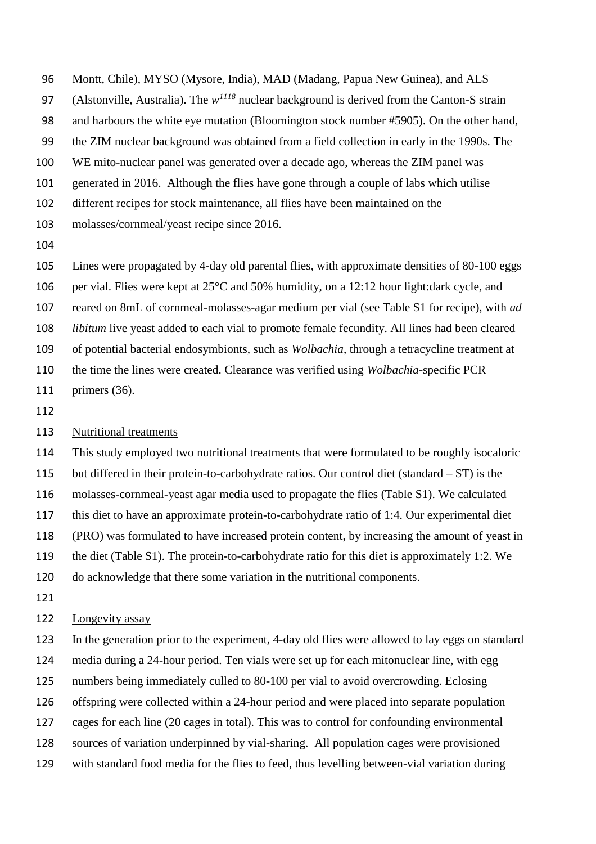Montt, Chile), MYSO (Mysore, India), MAD (Madang, Papua New Guinea), and ALS

97 (Alstonville, Australia). The  $w^{1118}$  nuclear background is derived from the Canton-S strain

and harbours the white eye mutation (Bloomington stock number #5905). On the other hand,

the ZIM nuclear background was obtained from a field collection in early in the 1990s. The

WE mito-nuclear panel was generated over a decade ago, whereas the ZIM panel was

generated in 2016. Although the flies have gone through a couple of labs which utilise

different recipes for stock maintenance, all flies have been maintained on the

- molasses/cornmeal/yeast recipe since 2016.
- 

 Lines were propagated by 4-day old parental flies, with approximate densities of 80-100 eggs 106 per vial. Flies were kept at  $25^{\circ}$ C and 50% humidity, on a 12:12 hour light:dark cycle, and reared on 8mL of cornmeal-molasses-agar medium per vial (see Table S1 for recipe), with *ad libitum* live yeast added to each vial to promote female fecundity. All lines had been cleared of potential bacterial endosymbionts, such as *Wolbachia*, through a tetracycline treatment at the time the lines were created. Clearance was verified using *Wolbachia*-specific PCR

- primers (36).
- 

## 113 Nutritional treatments

 This study employed two nutritional treatments that were formulated to be roughly isocaloric but differed in their protein-to-carbohydrate ratios. Our control diet (standard – ST) is the molasses-cornmeal-yeast agar media used to propagate the flies (Table S1). We calculated this diet to have an approximate protein-to-carbohydrate ratio of 1:4. Our experimental diet (PRO) was formulated to have increased protein content, by increasing the amount of yeast in the diet (Table S1). The protein-to-carbohydrate ratio for this diet is approximately 1:2. We do acknowledge that there some variation in the nutritional components.

# Longevity assay

 In the generation prior to the experiment, 4-day old flies were allowed to lay eggs on standard media during a 24-hour period. Ten vials were set up for each mitonuclear line, with egg numbers being immediately culled to 80-100 per vial to avoid overcrowding. Eclosing offspring were collected within a 24-hour period and were placed into separate population cages for each line (20 cages in total). This was to control for confounding environmental sources of variation underpinned by vial-sharing. All population cages were provisioned with standard food media for the flies to feed, thus levelling between-vial variation during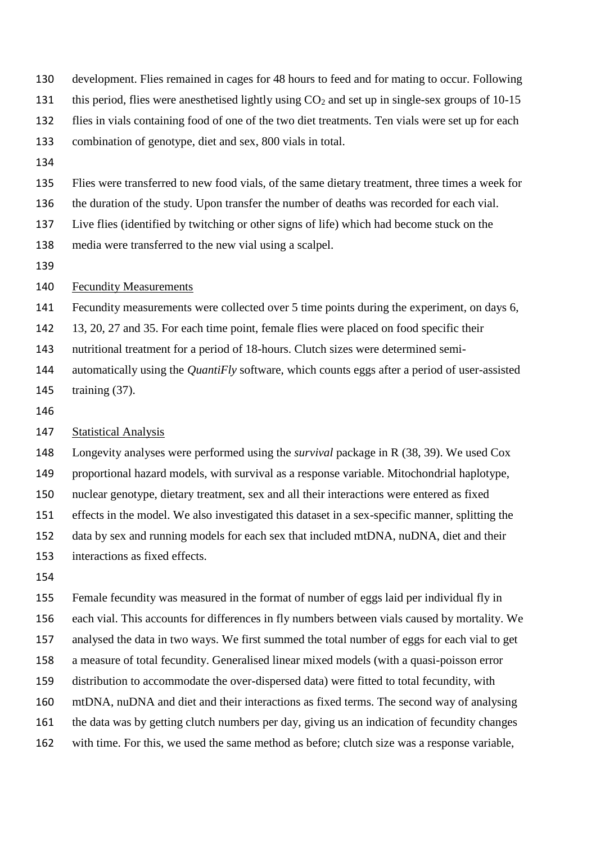- development. Flies remained in cages for 48 hours to feed and for mating to occur. Following
- 131 this period, flies were anesthetised lightly using  $CO<sub>2</sub>$  and set up in single-sex groups of 10-15
- flies in vials containing food of one of the two diet treatments. Ten vials were set up for each

combination of genotype, diet and sex, 800 vials in total.

Flies were transferred to new food vials, of the same dietary treatment, three times a week for

the duration of the study. Upon transfer the number of deaths was recorded for each vial.

Live flies (identified by twitching or other signs of life) which had become stuck on the

- media were transferred to the new vial using a scalpel.
- 

#### 140 Fecundity Measurements

Fecundity measurements were collected over 5 time points during the experiment, on days 6,

13, 20, 27 and 35. For each time point, female flies were placed on food specific their

- nutritional treatment for a period of 18-hours. Clutch sizes were determined semi-
- automatically using the *QuantiFly* software, which counts eggs after a period of user-assisted training (37).
- 

## 147 Statistical Analysis

 Longevity analyses were performed using the *survival* package in R (38, 39). We used Cox proportional hazard models, with survival as a response variable. Mitochondrial haplotype, nuclear genotype, dietary treatment, sex and all their interactions were entered as fixed effects in the model. We also investigated this dataset in a sex-specific manner, splitting the data by sex and running models for each sex that included mtDNA, nuDNA, diet and their interactions as fixed effects.

 Female fecundity was measured in the format of number of eggs laid per individual fly in each vial. This accounts for differences in fly numbers between vials caused by mortality. We analysed the data in two ways. We first summed the total number of eggs for each vial to get a measure of total fecundity. Generalised linear mixed models (with a quasi-poisson error distribution to accommodate the over-dispersed data) were fitted to total fecundity, with mtDNA, nuDNA and diet and their interactions as fixed terms. The second way of analysing the data was by getting clutch numbers per day, giving us an indication of fecundity changes with time. For this, we used the same method as before; clutch size was a response variable,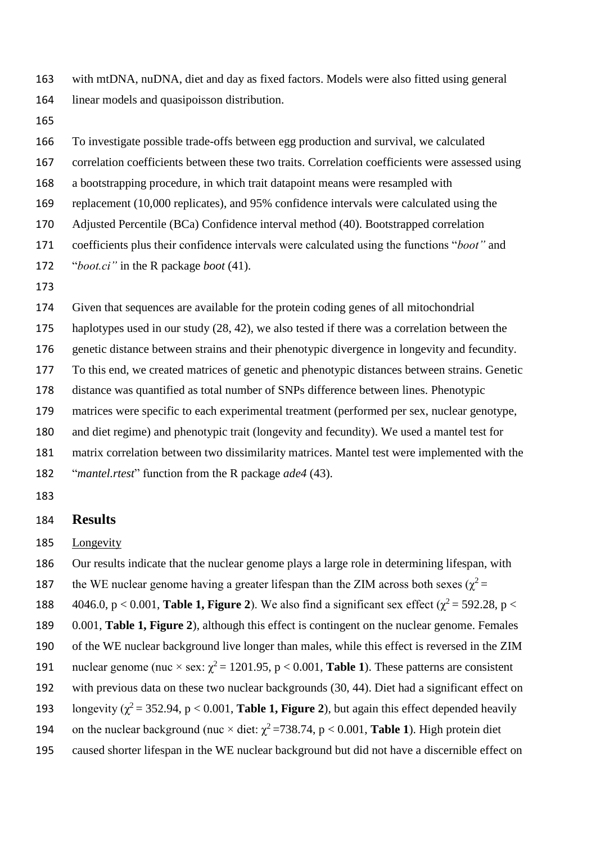with mtDNA, nuDNA, diet and day as fixed factors. Models were also fitted using general linear models and quasipoisson distribution.

 To investigate possible trade-offs between egg production and survival, we calculated correlation coefficients between these two traits. Correlation coefficients were assessed using a bootstrapping procedure, in which trait datapoint means were resampled with replacement (10,000 replicates), and 95% confidence intervals were calculated using the Adjusted Percentile (BCa) Confidence interval method (40). Bootstrapped correlation coefficients plus their confidence intervals were calculated using the functions "*boot"* and "*boot.ci"* in the R package *boot* (41). Given that sequences are available for the protein coding genes of all mitochondrial haplotypes used in our study (28, 42), we also tested if there was a correlation between the genetic distance between strains and their phenotypic divergence in longevity and fecundity. To this end, we created matrices of genetic and phenotypic distances between strains. Genetic distance was quantified as total number of SNPs difference between lines. Phenotypic matrices were specific to each experimental treatment (performed per sex, nuclear genotype, and diet regime) and phenotypic trait (longevity and fecundity). We used a mantel test for matrix correlation between two dissimilarity matrices. Mantel test were implemented with the "*mantel.rtest*" function from the R package *ade4* (43).

#### **Results**

Longevity

Our results indicate that the nuclear genome plays a large role in determining lifespan, with

the WE nuclear genome having a greater lifespan than the ZIM across both sexes ( $\chi^2$  =

188  $4046.0, p < 0.001$ , **Table 1, Figure 2**). We also find a significant sex effect ( $\chi^2 = 592.28$ , p <

0.001, **Table 1, Figure 2**), although this effect is contingent on the nuclear genome. Females

of the WE nuclear background live longer than males, while this effect is reversed in the ZIM

- nuclear genome (nuc  $\times$  sex:  $\chi^2$  = 1201.95, p < 0.001, **Table 1**). These patterns are consistent
- with previous data on these two nuclear backgrounds (30, 44). Diet had a significant effect on
- 193 longevity ( $\gamma^2$  = 352.94, p < 0.001, **Table 1, Figure 2**), but again this effect depended heavily
- 194 on the nuclear background (nuc  $\times$  diet:  $\chi^2$  =738.74, p < 0.001, **Table 1**). High protein diet
- caused shorter lifespan in the WE nuclear background but did not have a discernible effect on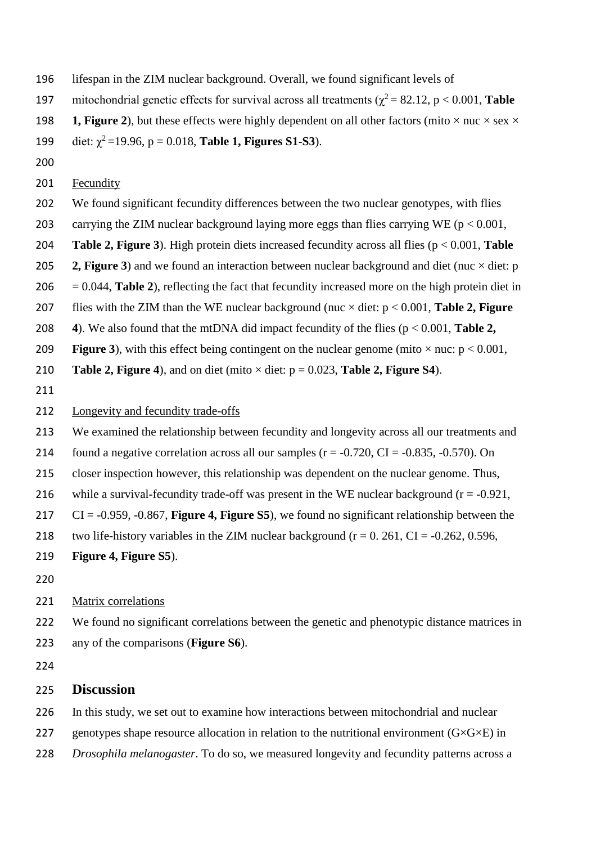- lifespan in the ZIM nuclear background. Overall, we found significant levels of
- mitochondrial genetic effects for survival across all treatments ( $\chi^2 = 82.12$ , p < 0.001, **Table**
- 198 **1, Figure 2**), but these effects were highly dependent on all other factors (mito  $\times$  nuc  $\times$  sex  $\times$
- 199 diet:  $\chi^2$  = 19.96, p = 0.018, **Table 1, Figures S1-S3**).
- 
- 201 Fecundity
- We found significant fecundity differences between the two nuclear genotypes, with flies
- 203 carrying the ZIM nuclear background laying more eggs than flies carrying WE ( $p < 0.001$ ,
- **Table 2, Figure 3**). High protein diets increased fecundity across all flies (p < 0.001, **Table**
- 205 **2, Figure 3**) and we found an interaction between nuclear background and diet (nuc  $\times$  diet: p
- $206 = 0.044$ , **Table 2**), reflecting the fact that fecundity increased more on the high protein diet in
- flies with the ZIM than the WE nuclear background (nuc × diet: p < 0.001, **Table 2, Figure**
- **4**). We also found that the mtDNA did impact fecundity of the flies (p < 0.001, **Table 2,**
- 209 **Figure 3**), with this effect being contingent on the nuclear genome (mito  $\times$  nuc:  $p < 0.001$ ,
- 210 **Table 2, Figure 4**), and on diet (mito  $\times$  diet:  $p = 0.023$ , **Table 2, Figure S4**).
- 

## Longevity and fecundity trade-offs

- We examined the relationship between fecundity and longevity across all our treatments and
- 214 found a negative correlation across all our samples  $(r = -0.720, CI = -0.835, -0.570)$ . On
- closer inspection however, this relationship was dependent on the nuclear genome. Thus,
- 216 while a survival-fecundity trade-off was present in the WE nuclear background  $(r = -0.921,$
- CI = -0.959, -0.867, **Figure 4, Figure S5**), we found no significant relationship between the
- 218 two life-history variables in the ZIM nuclear background ( $r = 0.261$ , CI = -0.262, 0.596,
- **Figure 4, Figure S5**).
- 

## Matrix correlations

 We found no significant correlations between the genetic and phenotypic distance matrices in any of the comparisons (**Figure S6**).

# **Discussion**

In this study, we set out to examine how interactions between mitochondrial and nuclear

- 227 genotypes shape resource allocation in relation to the nutritional environment  $(G \times G \times E)$  in
- *Drosophila melanogaster*. To do so, we measured longevity and fecundity patterns across a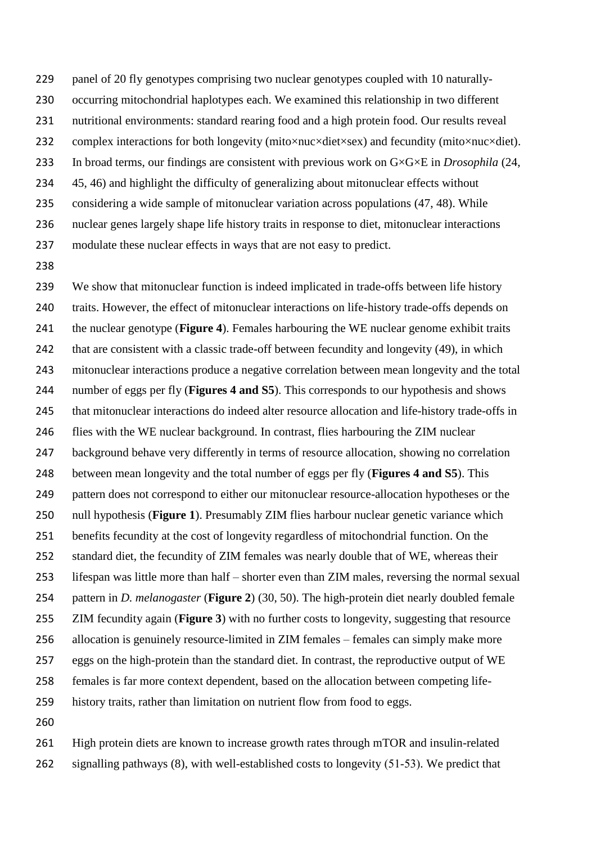panel of 20 fly genotypes comprising two nuclear genotypes coupled with 10 naturally-

- occurring mitochondrial haplotypes each. We examined this relationship in two different
- nutritional environments: standard rearing food and a high protein food. Our results reveal
- 232 complex interactions for both longevity (mito×nuc×diet×sex) and fecundity (mito×nuc×diet).
- In broad terms, our findings are consistent with previous work on G×G×E in *Drosophila* (24,
- 45, 46) and highlight the difficulty of generalizing about mitonuclear effects without
- considering a wide sample of mitonuclear variation across populations (47, 48). While
- nuclear genes largely shape life history traits in response to diet, mitonuclear interactions
- modulate these nuclear effects in ways that are not easy to predict.
- 

 We show that mitonuclear function is indeed implicated in trade-offs between life history traits. However, the effect of mitonuclear interactions on life-history trade-offs depends on the nuclear genotype (**Figure 4**). Females harbouring the WE nuclear genome exhibit traits that are consistent with a classic trade-off between fecundity and longevity (49), in which mitonuclear interactions produce a negative correlation between mean longevity and the total number of eggs per fly (**Figures 4 and S5**). This corresponds to our hypothesis and shows that mitonuclear interactions do indeed alter resource allocation and life-history trade-offs in 246 flies with the WE nuclear background. In contrast, flies harbouring the ZIM nuclear background behave very differently in terms of resource allocation, showing no correlation between mean longevity and the total number of eggs per fly (**Figures 4 and S5**). This pattern does not correspond to either our mitonuclear resource-allocation hypotheses or the null hypothesis (**Figure 1**). Presumably ZIM flies harbour nuclear genetic variance which benefits fecundity at the cost of longevity regardless of mitochondrial function. On the standard diet, the fecundity of ZIM females was nearly double that of WE, whereas their lifespan was little more than half – shorter even than ZIM males, reversing the normal sexual pattern in *D. melanogaster* (**Figure 2**) (30, 50). The high-protein diet nearly doubled female ZIM fecundity again (**Figure 3**) with no further costs to longevity, suggesting that resource allocation is genuinely resource-limited in ZIM females – females can simply make more eggs on the high-protein than the standard diet. In contrast, the reproductive output of WE females is far more context dependent, based on the allocation between competing life- history traits, rather than limitation on nutrient flow from food to eggs. 

 High protein diets are known to increase growth rates through mTOR and insulin-related signalling pathways (8), with well-established costs to longevity (51-53). We predict that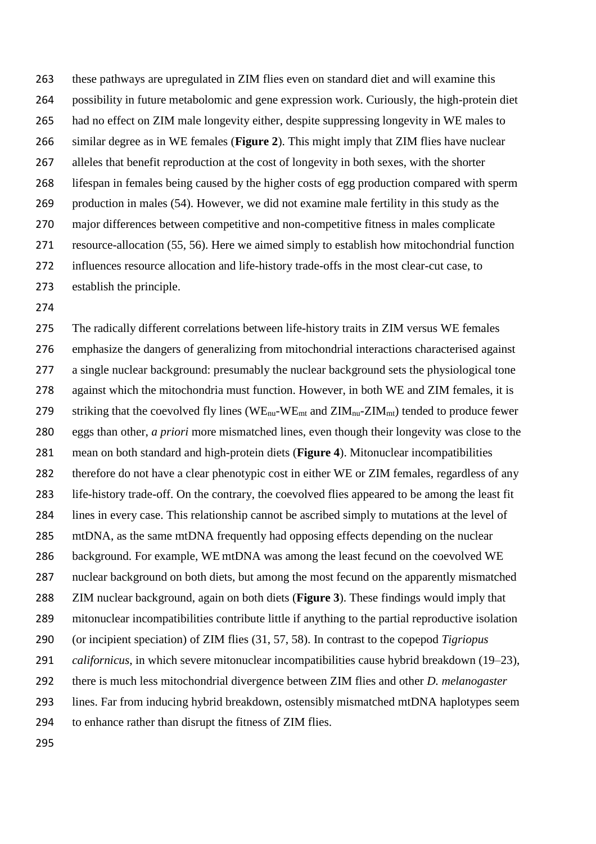these pathways are upregulated in ZIM flies even on standard diet and will examine this possibility in future metabolomic and gene expression work. Curiously, the high-protein diet had no effect on ZIM male longevity either, despite suppressing longevity in WE males to similar degree as in WE females (**Figure 2**). This might imply that ZIM flies have nuclear alleles that benefit reproduction at the cost of longevity in both sexes, with the shorter lifespan in females being caused by the higher costs of egg production compared with sperm production in males (54). However, we did not examine male fertility in this study as the major differences between competitive and non-competitive fitness in males complicate resource-allocation (55, 56). Here we aimed simply to establish how mitochondrial function influences resource allocation and life-history trade-offs in the most clear-cut case, to establish the principle.

 The radically different correlations between life-history traits in ZIM versus WE females emphasize the dangers of generalizing from mitochondrial interactions characterised against 277 a single nuclear background: presumably the nuclear background sets the physiological tone 278 against which the mitochondria must function. However, in both WE and ZIM females, it is 279 striking that the coevolved fly lines (WE<sub>nu</sub>-WE<sub>mt</sub> and  $ZIM_{nu}$ -ZIM<sub>mt</sub>) tended to produce fewer eggs than other, *a priori* more mismatched lines, even though their longevity was close to the mean on both standard and high-protein diets (**Figure 4**). Mitonuclear incompatibilities therefore do not have a clear phenotypic cost in either WE or ZIM females, regardless of any life-history trade-off. On the contrary, the coevolved flies appeared to be among the least fit lines in every case. This relationship cannot be ascribed simply to mutations at the level of mtDNA, as the same mtDNA frequently had opposing effects depending on the nuclear background. For example, WE mtDNA was among the least fecund on the coevolved WE nuclear background on both diets, but among the most fecund on the apparently mismatched ZIM nuclear background, again on both diets (**Figure 3**). These findings would imply that mitonuclear incompatibilities contribute little if anything to the partial reproductive isolation (or incipient speciation) of ZIM flies (31, 57, 58). In contrast to the copepod *Tigriopus californicus*, in which severe mitonuclear incompatibilities cause hybrid breakdown (19–23), there is much less mitochondrial divergence between ZIM flies and other *D. melanogaster* lines. Far from inducing hybrid breakdown, ostensibly mismatched mtDNA haplotypes seem to enhance rather than disrupt the fitness of ZIM flies.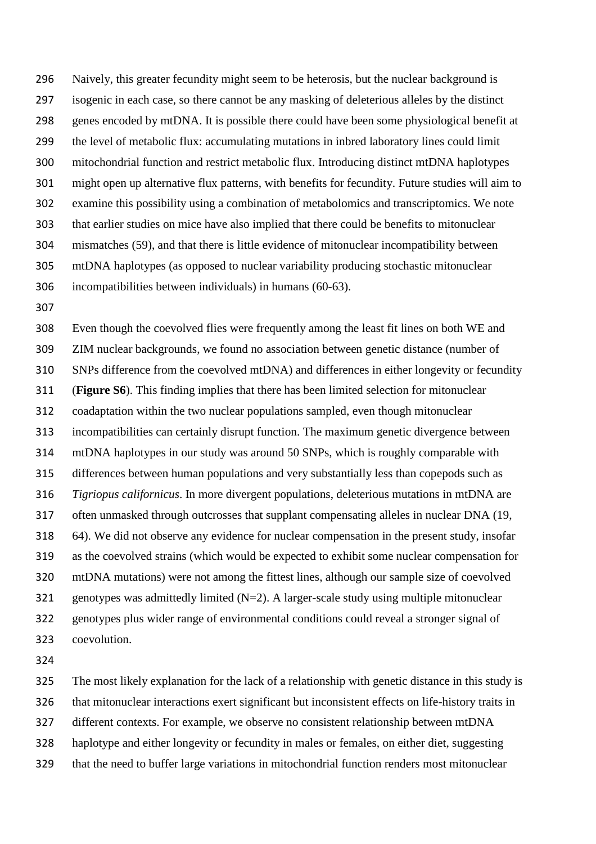Naively, this greater fecundity might seem to be heterosis, but the nuclear background is isogenic in each case, so there cannot be any masking of deleterious alleles by the distinct genes encoded by mtDNA. It is possible there could have been some physiological benefit at the level of metabolic flux: accumulating mutations in inbred laboratory lines could limit mitochondrial function and restrict metabolic flux. Introducing distinct mtDNA haplotypes might open up alternative flux patterns, with benefits for fecundity. Future studies will aim to examine this possibility using a combination of metabolomics and transcriptomics. We note that earlier studies on mice have also implied that there could be benefits to mitonuclear mismatches (59), and that there is little evidence of mitonuclear incompatibility between mtDNA haplotypes (as opposed to nuclear variability producing stochastic mitonuclear incompatibilities between individuals) in humans (60-63).

 Even though the coevolved flies were frequently among the least fit lines on both WE and ZIM nuclear backgrounds, we found no association between genetic distance (number of SNPs difference from the coevolved mtDNA) and differences in either longevity or fecundity (**Figure S6**). This finding implies that there has been limited selection for mitonuclear coadaptation within the two nuclear populations sampled, even though mitonuclear incompatibilities can certainly disrupt function. The maximum genetic divergence between mtDNA haplotypes in our study was around 50 SNPs, which is roughly comparable with differences between human populations and very substantially less than copepods such as *Tigriopus californicus*. In more divergent populations, deleterious mutations in mtDNA are often unmasked through outcrosses that supplant compensating alleles in nuclear DNA (19, 64). We did not observe any evidence for nuclear compensation in the present study, insofar as the coevolved strains (which would be expected to exhibit some nuclear compensation for mtDNA mutations) were not among the fittest lines, although our sample size of coevolved 321 genotypes was admittedly limited  $(N=2)$ . A larger-scale study using multiple mitonuclear genotypes plus wider range of environmental conditions could reveal a stronger signal of coevolution.

 The most likely explanation for the lack of a relationship with genetic distance in this study is that mitonuclear interactions exert significant but inconsistent effects on life-history traits in different contexts. For example, we observe no consistent relationship between mtDNA haplotype and either longevity or fecundity in males or females, on either diet, suggesting that the need to buffer large variations in mitochondrial function renders most mitonuclear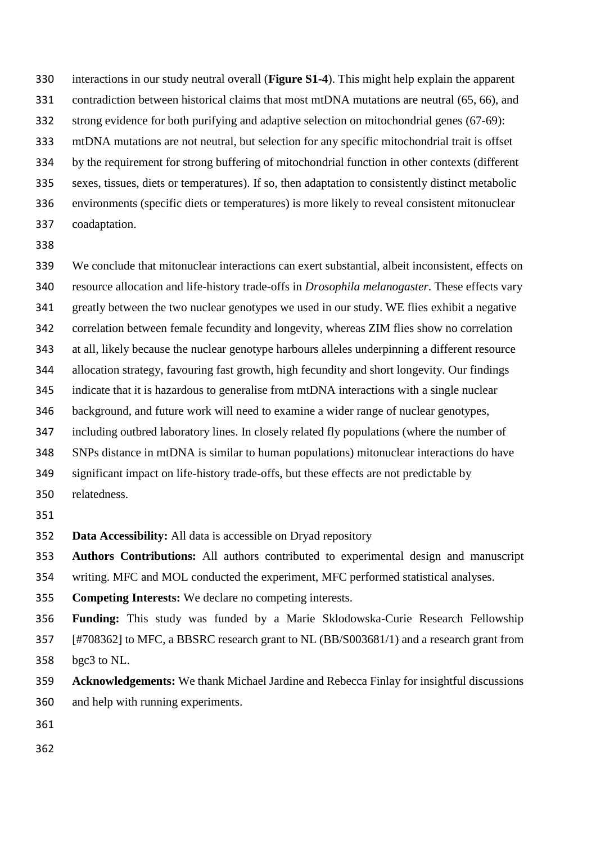interactions in our study neutral overall (**Figure S1-4**). This might help explain the apparent contradiction between historical claims that most mtDNA mutations are neutral (65, 66), and

strong evidence for both purifying and adaptive selection on mitochondrial genes (67-69):

mtDNA mutations are not neutral, but selection for any specific mitochondrial trait is offset

by the requirement for strong buffering of mitochondrial function in other contexts (different

sexes, tissues, diets or temperatures). If so, then adaptation to consistently distinct metabolic

environments (specific diets or temperatures) is more likely to reveal consistent mitonuclear

- coadaptation.
- 

 We conclude that mitonuclear interactions can exert substantial, albeit inconsistent, effects on resource allocation and life-history trade-offs in *Drosophila melanogaster*. These effects vary greatly between the two nuclear genotypes we used in our study. WE flies exhibit a negative correlation between female fecundity and longevity, whereas ZIM flies show no correlation at all, likely because the nuclear genotype harbours alleles underpinning a different resource allocation strategy, favouring fast growth, high fecundity and short longevity. Our findings indicate that it is hazardous to generalise from mtDNA interactions with a single nuclear background, and future work will need to examine a wider range of nuclear genotypes, including outbred laboratory lines. In closely related fly populations (where the number of SNPs distance in mtDNA is similar to human populations) mitonuclear interactions do have significant impact on life-history trade-offs, but these effects are not predictable by relatedness. 

**Data Accessibility:** All data is accessible on Dryad repository

**Authors Contributions:** All authors contributed to experimental design and manuscript

writing. MFC and MOL conducted the experiment, MFC performed statistical analyses.

**Competing Interests:** We declare no competing interests.

 **Funding:** This study was funded by a Marie Sklodowska-Curie Research Fellowship [#708362] to MFC, a BBSRC research grant to NL (BB/S003681/1) and a research grant from bgc3 to NL.

 **Acknowledgements:** We thank Michael Jardine and Rebecca Finlay for insightful discussions and help with running experiments.

- 
-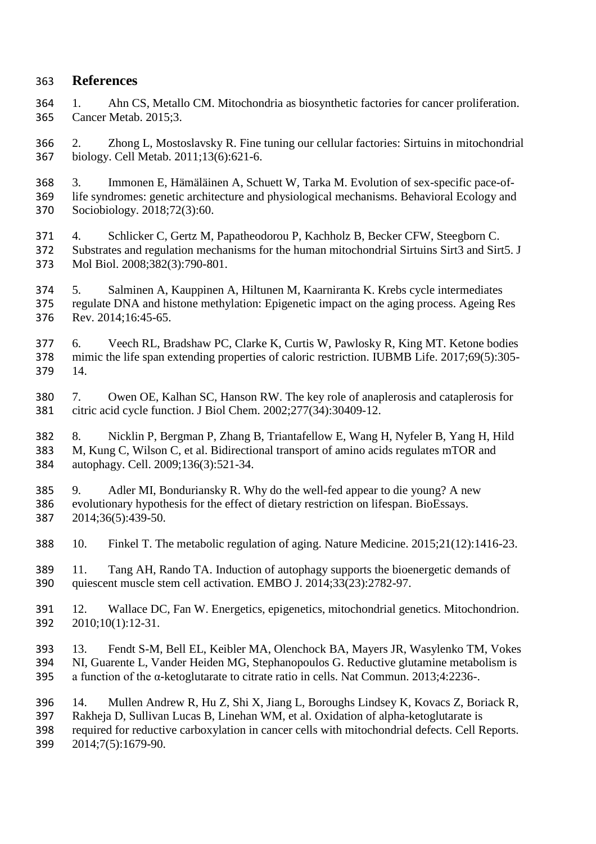# **References**

- 1. Ahn CS, Metallo CM. Mitochondria as biosynthetic factories for cancer proliferation. Cancer Metab. 2015;3.
- 2. Zhong L, Mostoslavsky R. Fine tuning our cellular factories: Sirtuins in mitochondrial biology. Cell Metab. 2011;13(6):621-6.
- 3. Immonen E, Hämäläinen A, Schuett W, Tarka M. Evolution of sex-specific pace-of- life syndromes: genetic architecture and physiological mechanisms. Behavioral Ecology and Sociobiology. 2018;72(3):60.
- 4. Schlicker C, Gertz M, Papatheodorou P, Kachholz B, Becker CFW, Steegborn C. Substrates and regulation mechanisms for the human mitochondrial Sirtuins Sirt3 and Sirt5. J Mol Biol. 2008;382(3):790-801.
- 5. Salminen A, Kauppinen A, Hiltunen M, Kaarniranta K. Krebs cycle intermediates regulate DNA and histone methylation: Epigenetic impact on the aging process. Ageing Res Rev. 2014;16:45-65.
- 6. Veech RL, Bradshaw PC, Clarke K, Curtis W, Pawlosky R, King MT. Ketone bodies mimic the life span extending properties of caloric restriction. IUBMB Life. 2017;69(5):305- 14.
- 7. Owen OE, Kalhan SC, Hanson RW. The key role of anaplerosis and cataplerosis for citric acid cycle function. J Biol Chem. 2002;277(34):30409-12.
- 8. Nicklin P, Bergman P, Zhang B, Triantafellow E, Wang H, Nyfeler B, Yang H, Hild M, Kung C, Wilson C, et al. Bidirectional transport of amino acids regulates mTOR and autophagy. Cell. 2009;136(3):521-34.
- 9. Adler MI, Bonduriansky R. Why do the well-fed appear to die young? A new evolutionary hypothesis for the effect of dietary restriction on lifespan. BioEssays. 2014;36(5):439-50.
- 10. Finkel T. The metabolic regulation of aging. Nature Medicine. 2015;21(12):1416-23.
- 11. Tang AH, Rando TA. Induction of autophagy supports the bioenergetic demands of quiescent muscle stem cell activation. EMBO J. 2014;33(23):2782-97.
- 12. Wallace DC, Fan W. Energetics, epigenetics, mitochondrial genetics. Mitochondrion. 2010;10(1):12-31.
- 13. Fendt S-M, Bell EL, Keibler MA, Olenchock BA, Mayers JR, Wasylenko TM, Vokes NI, Guarente L, Vander Heiden MG, Stephanopoulos G. Reductive glutamine metabolism is a function of the α-ketoglutarate to citrate ratio in cells. Nat Commun. 2013;4:2236-.
- 14. Mullen Andrew R, Hu Z, Shi X, Jiang L, Boroughs Lindsey K, Kovacs Z, Boriack R, Rakheja D, Sullivan Lucas B, Linehan WM, et al. Oxidation of alpha-ketoglutarate is required for reductive carboxylation in cancer cells with mitochondrial defects. Cell Reports.
- 2014;7(5):1679-90.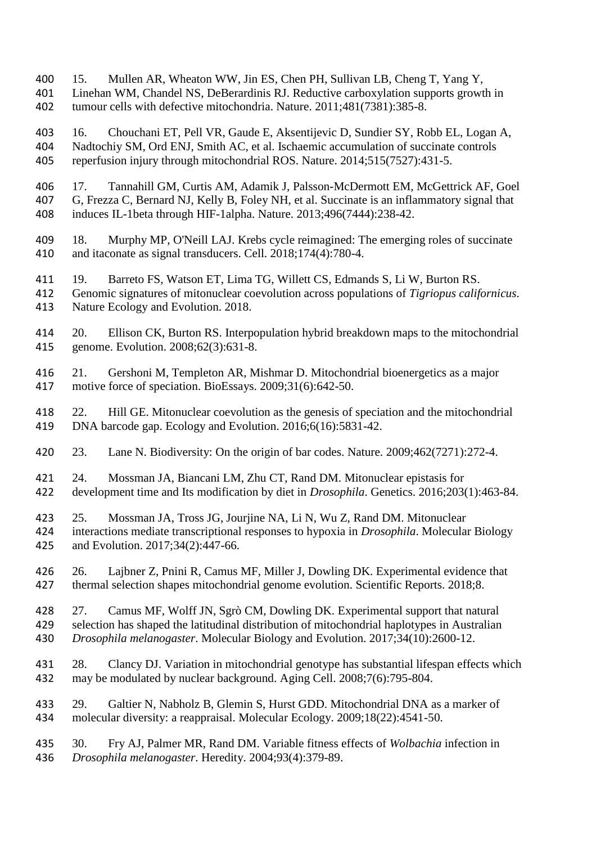15. Mullen AR, Wheaton WW, Jin ES, Chen PH, Sullivan LB, Cheng T, Yang Y, 401 Linehan WM, Chandel NS, DeBerardinis RJ. Reductive carboxylation supports growth in<br>402 tumour cells with defective mitochondria. Nature. 2011;481(7381):385-8. tumour cells with defective mitochondria. Nature. 2011;481(7381):385-8.

 16. Chouchani ET, Pell VR, Gaude E, Aksentijevic D, Sundier SY, Robb EL, Logan A, Nadtochiy SM, Ord ENJ, Smith AC, et al. Ischaemic accumulation of succinate controls reperfusion injury through mitochondrial ROS. Nature. 2014;515(7527):431-5.

406 17. Tannahill GM, Curtis AM, Adamik J, Palsson-McDermott EM, McGettrick AF, Goel<br>407 G, Frezza C, Bernard NJ, Kelly B, Foley NH, et al. Succinate is an inflammatory signal that G, Frezza C, Bernard NJ, Kelly B, Foley NH, et al. Succinate is an inflammatory signal that induces IL-1beta through HIF-1alpha. Nature. 2013;496(7444):238-42.

 18. Murphy MP, O'Neill LAJ. Krebs cycle reimagined: The emerging roles of succinate and itaconate as signal transducers. Cell. 2018;174(4):780-4.

19. Barreto FS, Watson ET, Lima TG, Willett CS, Edmands S, Li W, Burton RS.

 Genomic signatures of mitonuclear coevolution across populations of *Tigriopus californicus*. Nature Ecology and Evolution. 2018.

- 20. Ellison CK, Burton RS. Interpopulation hybrid breakdown maps to the mitochondrial genome. Evolution. 2008;62(3):631-8.
- 21. Gershoni M, Templeton AR, Mishmar D. Mitochondrial bioenergetics as a major motive force of speciation. BioEssays. 2009;31(6):642-50.

 22. Hill GE. Mitonuclear coevolution as the genesis of speciation and the mitochondrial DNA barcode gap. Ecology and Evolution. 2016;6(16):5831-42.

23. Lane N. Biodiversity: On the origin of bar codes. Nature. 2009;462(7271):272-4.

- 24. Mossman JA, Biancani LM, Zhu CT, Rand DM. Mitonuclear epistasis for development time and Its modification by diet in *Drosophila*. Genetics. 2016;203(1):463-84.
- 25. Mossman JA, Tross JG, Jourjine NA, Li N, Wu Z, Rand DM. Mitonuclear interactions mediate transcriptional responses to hypoxia in *Drosophila*. Molecular Biology and Evolution. 2017;34(2):447-66.

 26. Lajbner Z, Pnini R, Camus MF, Miller J, Dowling DK. Experimental evidence that thermal selection shapes mitochondrial genome evolution. Scientific Reports. 2018;8.

 27. Camus MF, Wolff JN, Sgrò CM, Dowling DK. Experimental support that natural selection has shaped the latitudinal distribution of mitochondrial haplotypes in Australian *Drosophila melanogaster*. Molecular Biology and Evolution. 2017;34(10):2600-12.

- 28. Clancy DJ. Variation in mitochondrial genotype has substantial lifespan effects which may be modulated by nuclear background. Aging Cell. 2008;7(6):795-804.
- 29. Galtier N, Nabholz B, Glemin S, Hurst GDD. Mitochondrial DNA as a marker of molecular diversity: a reappraisal. Molecular Ecology. 2009;18(22):4541-50.
- 30. Fry AJ, Palmer MR, Rand DM. Variable fitness effects of *Wolbachia* infection in *Drosophila melanogaster*. Heredity. 2004;93(4):379-89.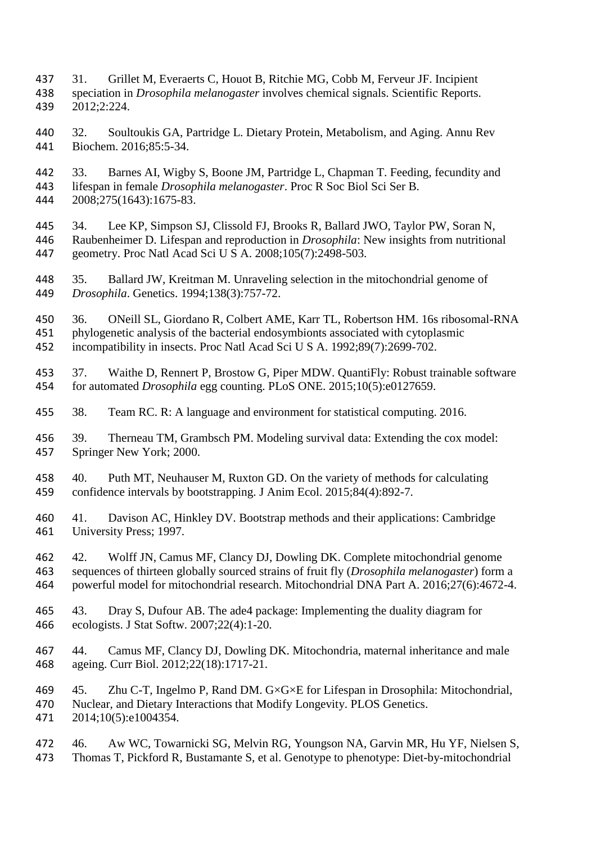- 31. Grillet M, Everaerts C, Houot B, Ritchie MG, Cobb M, Ferveur JF. Incipient speciation in *Drosophila melanogaster* involves chemical signals. Scientific Reports. 2012;2:224.
- 32. Soultoukis GA, Partridge L. Dietary Protein, Metabolism, and Aging. Annu Rev Biochem. 2016;85:5-34.
- 33. Barnes AI, Wigby S, Boone JM, Partridge L, Chapman T. Feeding, fecundity and lifespan in female *Drosophila melanogaster*. Proc R Soc Biol Sci Ser B. 2008;275(1643):1675-83.
- 34. Lee KP, Simpson SJ, Clissold FJ, Brooks R, Ballard JWO, Taylor PW, Soran N, Raubenheimer D. Lifespan and reproduction in *Drosophila*: New insights from nutritional geometry. Proc Natl Acad Sci U S A. 2008;105(7):2498-503.
- 35. Ballard JW, Kreitman M. Unraveling selection in the mitochondrial genome of *Drosophila*. Genetics. 1994;138(3):757-72.
- 36. ONeill SL, Giordano R, Colbert AME, Karr TL, Robertson HM. 16s ribosomal-RNA phylogenetic analysis of the bacterial endosymbionts associated with cytoplasmic incompatibility in insects. Proc Natl Acad Sci U S A. 1992;89(7):2699-702.
- 37. Waithe D, Rennert P, Brostow G, Piper MDW. QuantiFly: Robust trainable software for automated *Drosophila* egg counting. PLoS ONE. 2015;10(5):e0127659.
- 38. Team RC. R: A language and environment for statistical computing. 2016.
- 39. Therneau TM, Grambsch PM. Modeling survival data: Extending the cox model: Springer New York; 2000.
- 40. Puth MT, Neuhauser M, Ruxton GD. On the variety of methods for calculating confidence intervals by bootstrapping. J Anim Ecol. 2015;84(4):892-7.
- 41. Davison AC, Hinkley DV. Bootstrap methods and their applications: Cambridge University Press; 1997.
- 42. Wolff JN, Camus MF, Clancy DJ, Dowling DK. Complete mitochondrial genome sequences of thirteen globally sourced strains of fruit fly (*Drosophila melanogaster*) form a powerful model for mitochondrial research. Mitochondrial DNA Part A. 2016;27(6):4672-4.
- 43. Dray S, Dufour AB. The ade4 package: Implementing the duality diagram for ecologists. J Stat Softw. 2007;22(4):1-20.
- 44. Camus MF, Clancy DJ, Dowling DK. Mitochondria, maternal inheritance and male ageing. Curr Biol. 2012;22(18):1717-21.
- 45. Zhu C-T, Ingelmo P, Rand DM. G×G×E for Lifespan in Drosophila: Mitochondrial, Nuclear, and Dietary Interactions that Modify Longevity. PLOS Genetics. 2014;10(5):e1004354.
- 46. Aw WC, Towarnicki SG, Melvin RG, Youngson NA, Garvin MR, Hu YF, Nielsen S, Thomas T, Pickford R, Bustamante S, et al. Genotype to phenotype: Diet-by-mitochondrial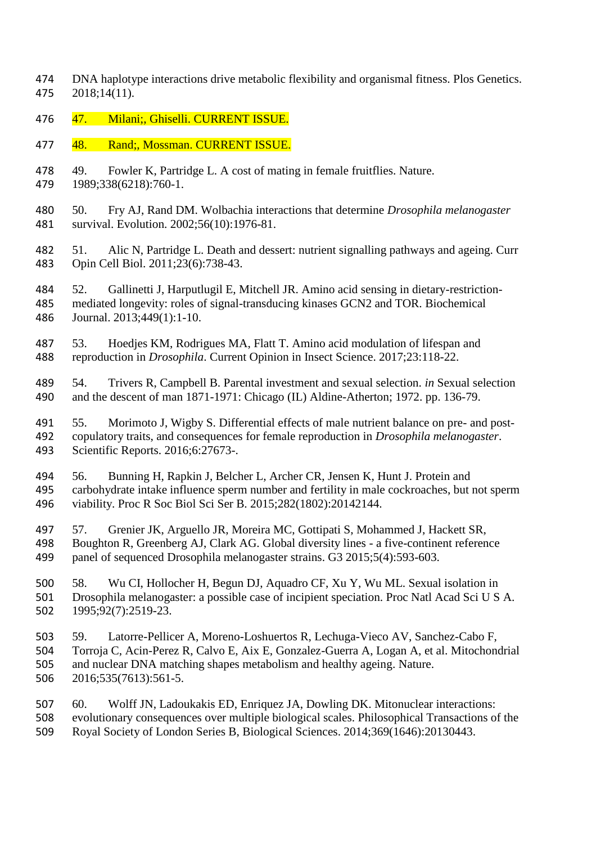- DNA haplotype interactions drive metabolic flexibility and organismal fitness. Plos Genetics. 2018;14(11).
- 476 47. Milani;, Ghiselli. CURRENT ISSUE.
- 477 48. Rand;, Mossman. CURRENT ISSUE.
- 49. Fowler K, Partridge L. A cost of mating in female fruitflies. Nature.
- 1989;338(6218):760-1.
- 50. Fry AJ, Rand DM. Wolbachia interactions that determine *Drosophila melanogaster*  survival. Evolution. 2002;56(10):1976-81.
- 51. Alic N, Partridge L. Death and dessert: nutrient signalling pathways and ageing. Curr Opin Cell Biol. 2011;23(6):738-43.
- 52. Gallinetti J, Harputlugil E, Mitchell JR. Amino acid sensing in dietary-restriction- mediated longevity: roles of signal-transducing kinases GCN2 and TOR. Biochemical Journal. 2013;449(1):1-10.
- 53. Hoedjes KM, Rodrigues MA, Flatt T. Amino acid modulation of lifespan and reproduction in *Drosophila*. Current Opinion in Insect Science. 2017;23:118-22.
- 54. Trivers R, Campbell B. Parental investment and sexual selection. *in* Sexual selection and the descent of man 1871-1971: Chicago (IL) Aldine-Atherton; 1972. pp. 136-79.
- 55. Morimoto J, Wigby S. Differential effects of male nutrient balance on pre- and post- copulatory traits, and consequences for female reproduction in *Drosophila melanogaster*. Scientific Reports. 2016;6:27673-.
- 56. Bunning H, Rapkin J, Belcher L, Archer CR, Jensen K, Hunt J. Protein and carbohydrate intake influence sperm number and fertility in male cockroaches, but not sperm viability. Proc R Soc Biol Sci Ser B. 2015;282(1802):20142144.
- 57. Grenier JK, Arguello JR, Moreira MC, Gottipati S, Mohammed J, Hackett SR, Boughton R, Greenberg AJ, Clark AG. Global diversity lines - a five-continent reference panel of sequenced Drosophila melanogaster strains. G3 2015;5(4):593-603.
- 58. Wu CI, Hollocher H, Begun DJ, Aquadro CF, Xu Y, Wu ML. Sexual isolation in Drosophila melanogaster: a possible case of incipient speciation. Proc Natl Acad Sci U S A. 1995;92(7):2519-23.
- 59. Latorre-Pellicer A, Moreno-Loshuertos R, Lechuga-Vieco AV, Sanchez-Cabo F, Torroja C, Acin-Perez R, Calvo E, Aix E, Gonzalez-Guerra A, Logan A, et al. Mitochondrial and nuclear DNA matching shapes metabolism and healthy ageing. Nature. 2016;535(7613):561-5.
- 60. Wolff JN, Ladoukakis ED, Enriquez JA, Dowling DK. Mitonuclear interactions: evolutionary consequences over multiple biological scales. Philosophical Transactions of the Royal Society of London Series B, Biological Sciences. 2014;369(1646):20130443.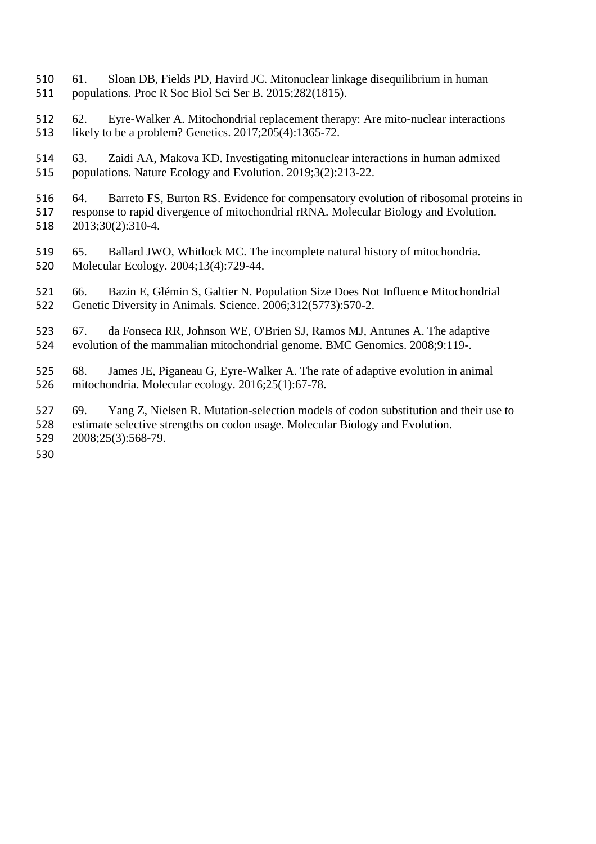- 61. Sloan DB, Fields PD, Havird JC. Mitonuclear linkage disequilibrium in human populations. Proc R Soc Biol Sci Ser B. 2015;282(1815).
- 62. Eyre-Walker A. Mitochondrial replacement therapy: Are mito-nuclear interactions likely to be a problem? Genetics. 2017;205(4):1365-72.
- 63. Zaidi AA, Makova KD. Investigating mitonuclear interactions in human admixed populations. Nature Ecology and Evolution. 2019;3(2):213-22.
- 516 64. Barreto FS, Burton RS. Evidence for compensatory evolution of ribosomal proteins in<br>517 response to rapid divergence of mitochondrial rRNA. Molecular Biology and Evolution. response to rapid divergence of mitochondrial rRNA. Molecular Biology and Evolution. 2013;30(2):310-4.
- 65. Ballard JWO, Whitlock MC. The incomplete natural history of mitochondria. Molecular Ecology. 2004;13(4):729-44.
- 66. Bazin E, Glémin S, Galtier N. Population Size Does Not Influence Mitochondrial Genetic Diversity in Animals. Science. 2006;312(5773):570-2.
- 67. da Fonseca RR, Johnson WE, O'Brien SJ, Ramos MJ, Antunes A. The adaptive evolution of the mammalian mitochondrial genome. BMC Genomics. 2008;9:119-.
- 68. James JE, Piganeau G, Eyre-Walker A. The rate of adaptive evolution in animal mitochondria. Molecular ecology. 2016;25(1):67-78.
- 69. Yang Z, Nielsen R. Mutation-selection models of codon substitution and their use to estimate selective strengths on codon usage. Molecular Biology and Evolution. 2008;25(3):568-79.
-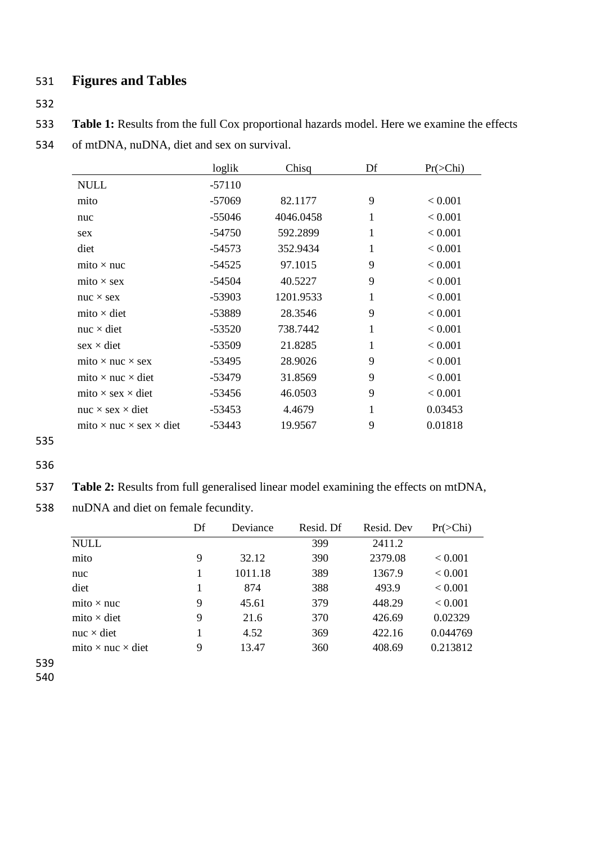# 531 **Figures and Tables**

532

533 **Table 1:** Results from the full Cox proportional hazards model. Here we examine the effects

534 of mtDNA, nuDNA, diet and sex on survival.

|                                              | loglik   | Chisq     | Df           | $Pr(\geq Chi)$ |
|----------------------------------------------|----------|-----------|--------------|----------------|
| <b>NULL</b>                                  | $-57110$ |           |              |                |
| mito                                         | $-57069$ | 82.1177   | 9            | < 0.001        |
| nuc                                          | $-55046$ | 4046.0458 | 1            | < 0.001        |
| sex                                          | $-54750$ | 592.2899  | $\mathbf{1}$ | < 0.001        |
| diet                                         | $-54573$ | 352.9434  | 1            | < 0.001        |
| mito $\times$ nuc                            | $-54525$ | 97.1015   | 9            | < 0.001        |
| mito $\times$ sex                            | $-54504$ | 40.5227   | 9            | < 0.001        |
| $nuc \times sex$                             | $-53903$ | 1201.9533 | 1            | < 0.001        |
| mito $\times$ diet                           | -53889   | 28.3546   | 9            | < 0.001        |
| $nuc \times diet$                            | $-53520$ | 738.7442  | $\mathbf{1}$ | < 0.001        |
| $sex \times diet$                            | $-53509$ | 21.8285   | 1            | < 0.001        |
| mito $\times$ nuc $\times$ sex               | $-53495$ | 28.9026   | 9            | < 0.001        |
| mito $\times$ nuc $\times$ diet              | $-53479$ | 31.8569   | 9            | < 0.001        |
| mito $\times$ sex $\times$ diet              | $-53456$ | 46.0503   | 9            | < 0.001        |
| nuc $\times$ sex $\times$ diet               | -53453   | 4.4679    | 1            | 0.03453        |
| mito $\times$ nuc $\times$ sex $\times$ diet | $-53443$ | 19.9567   | 9            | 0.01818        |

<sup>535</sup>

- 536
- 537 **Table 2:** Results from full generalised linear model examining the effects on mtDNA,
- 538 nuDNA and diet on female fecundity.

|                                 | Df | Deviance | Resid. Df | Resid. Dev | $Pr(\geq Chi)$ |
|---------------------------------|----|----------|-----------|------------|----------------|
| <b>NULL</b>                     |    |          | 399       | 2411.2     |                |
| mito                            | 9  | 32.12    | 390       | 2379.08    | ${}_{< 0.001}$ |
| nuc                             |    | 1011.18  | 389       | 1367.9     | < 0.001        |
| diet                            |    | 874      | 388       | 493.9      | < 0.001        |
| mito $\times$ nuc               | 9  | 45.61    | 379       | 448.29     | < 0.001        |
| mito $\times$ diet              | 9  | 21.6     | 370       | 426.69     | 0.02329        |
| nuc $\times$ diet               |    | 4.52     | 369       | 422.16     | 0.044769       |
| mito $\times$ nuc $\times$ diet | 9  | 13.47    | 360       | 408.69     | 0.213812       |

539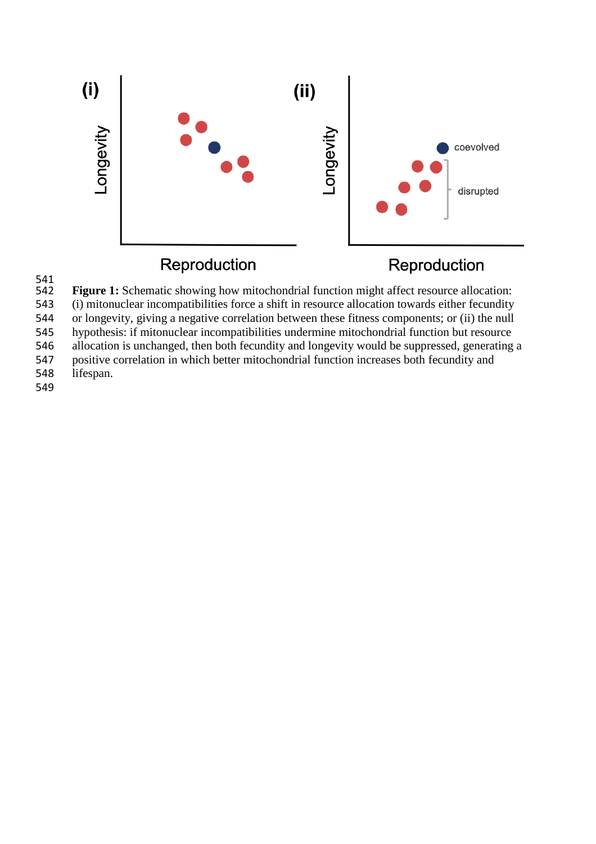



**Figure 1:** Schematic showing how mitochondrial function might affect resource allocation:

543 (i) mitonuclear incompatibilities force a shift in resource allocation towards either fecundity

544 or longevity, giving a negative correlation between these fitness components; or (ii) the null

545 hypothesis: if mitonuclear incompatibilities undermine mitochondrial function but resource<br>546 allocation is unchanged, then both fecundity and longevity would be suppressed, generating

546 allocation is unchanged, then both fecundity and longevity would be suppressed, generating a positive correlation in which better mitochondrial function increases both fecundity and

547 positive correlation in which better mitochondrial function increases both fecundity and lifespan. lifespan.

- 
- 549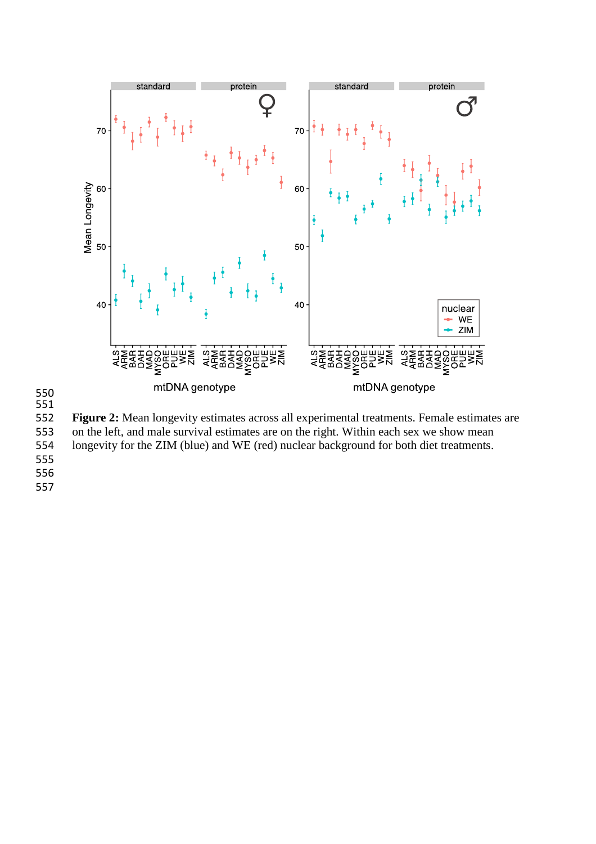

 

 **Figure 2:** Mean longevity estimates across all experimental treatments. Female estimates are 553 on the left, and male survival estimates are on the right. Within each sex we show mean longevity for the ZIM (blue) and WE (red) nuclear background for both diet treatments. longevity for the ZIM (blue) and WE (red) nuclear background for both diet treatments.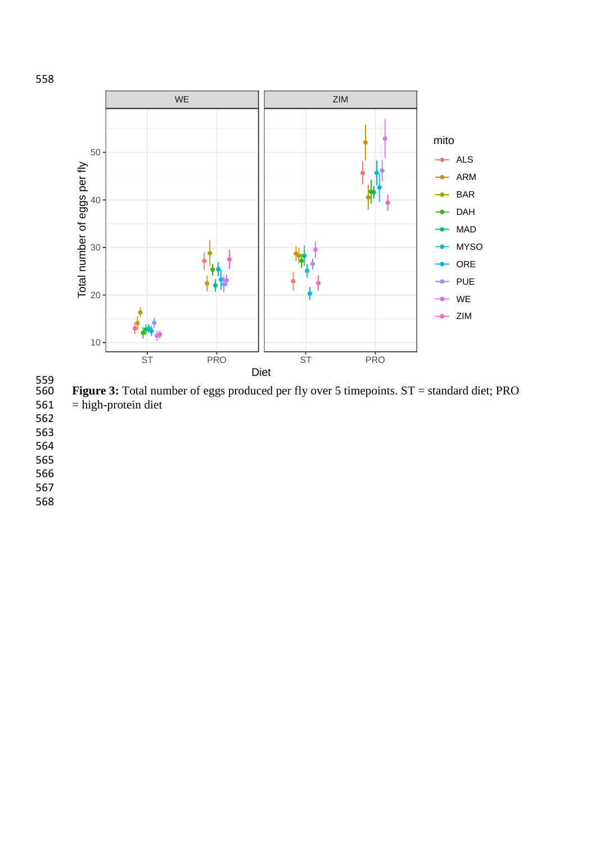

559<br>560 **Figure 3:** Total number of eggs produced per fly over 5 timepoints. ST = standard diet; PRO<br>561 = high-protein diet  $=$  high-protein diet

562

563

564

565

566

567